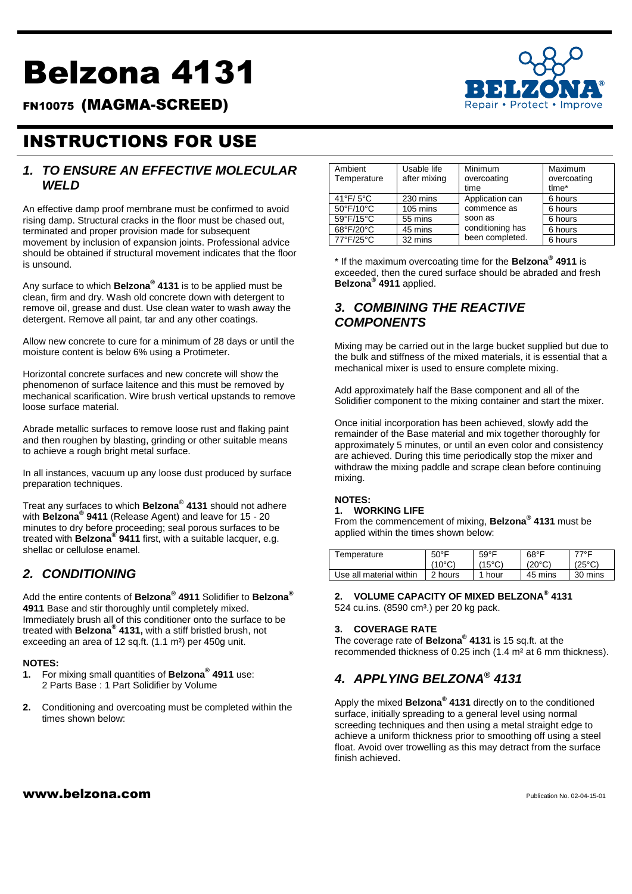# Belzona 4131



FN10075 (MAGMA-SCREED)

# INSTRUCTIONS FOR USE

#### *1. TO ENSURE AN EFFECTIVE MOLECULAR WELD*

An effective damp proof membrane must be confirmed to avoid rising damp. Structural cracks in the floor must be chased out, terminated and proper provision made for subsequent movement by inclusion of expansion joints. Professional advice should be obtained if structural movement indicates that the floor is unsound.

Any surface to which **Belzona® 4131** is to be applied must be clean, firm and dry. Wash old concrete down with detergent to remove oil, grease and dust. Use clean water to wash away the detergent. Remove all paint, tar and any other coatings.

Allow new concrete to cure for a minimum of 28 days or until the moisture content is below 6% using a Protimeter.

Horizontal concrete surfaces and new concrete will show the phenomenon of surface laitence and this must be removed by mechanical scarification. Wire brush vertical upstands to remove loose surface material.

Abrade metallic surfaces to remove loose rust and flaking paint and then roughen by blasting, grinding or other suitable means to achieve a rough bright metal surface.

In all instances, vacuum up any loose dust produced by surface preparation techniques.

Treat any surfaces to which **Belzona® 4131** should not adhere with **Belzona® 9411** (Release Agent) and leave for 15 - 20 minutes to dry before proceeding; seal porous surfaces to be treated with **Belzona® 9411** first, with a suitable lacquer, e.g. shellac or cellulose enamel.

## *2. CONDITIONING*

Add the entire contents of **Belzona® 4911** Solidifier to **Belzona® 4911** Base and stir thoroughly until completely mixed. Immediately brush all of this conditioner onto the surface to be treated with **Belzona® 4131,** with a stiff bristled brush, not exceeding an area of 12 sq.ft. (1.1 m²) per 450g unit.

#### **NOTES:**

- **1.** For mixing small quantities of **Belzona® 4911** use: 2 Parts Base : 1 Part Solidifier by Volume
- **2.** Conditioning and overcoating must be completed within the times shown below:

| Ambient<br>Temperature         | Usable life<br>after mixing | Minimum<br>overcoating<br>time | Maximum<br>overcoating<br>tlme* |
|--------------------------------|-----------------------------|--------------------------------|---------------------------------|
| $41^{\circ}$ F/5°C             | 230 mins                    | Application can                | 6 hours                         |
| $50^{\circ}$ F/10 $^{\circ}$ C | $105 \text{ mins}$          | commence as                    | 6 hours                         |
| 59°F/15°C                      | 55 mins                     | soon as                        | 6 hours                         |
| 68°F/20°C                      | 45 mins                     | conditioning has               | 6 hours                         |
| 77°F/25°C                      | 32 mins                     | been completed.                | 6 hours                         |

\* If the maximum overcoating time for the **Belzona® 4911** is exceeded, then the cured surface should be abraded and fresh **Belzona® 4911** applied.

## *3. COMBINING THE REACTIVE COMPONENTS*

Mixing may be carried out in the large bucket supplied but due to the bulk and stiffness of the mixed materials, it is essential that a mechanical mixer is used to ensure complete mixing.

Add approximately half the Base component and all of the Solidifier component to the mixing container and start the mixer.

Once initial incorporation has been achieved, slowly add the remainder of the Base material and mix together thoroughly for approximately 5 minutes, or until an even color and consistency are achieved. During this time periodically stop the mixer and withdraw the mixing paddle and scrape clean before continuing mixing.

#### **NOTES:**

#### **1. WORKING LIFE**

From the commencement of mixing, **Belzona® 4131** must be applied within the times shown below:

| Temperature             | $50^{\circ}$ F  | $59^{\circ}$ F  | $68^{\circ}$ F  | 77°F            |
|-------------------------|-----------------|-----------------|-----------------|-----------------|
|                         | $(10^{\circ}C)$ | $(15^{\circ}C)$ | $(20^{\circ}C)$ | $(25^{\circ}C)$ |
| Use all material within | 2 hours         | 1 hour          | 45 mins         | 30 mins         |

**2. VOLUME CAPACITY OF MIXED BELZONA® 4131** 524 cu.ins. (8590 cm<sup>3</sup>.) per 20 kg pack.

#### **3. COVERAGE RATE**

The coverage rate of **Belzona® 4131** is 15 sq.ft. at the recommended thickness of 0.25 inch (1.4 m² at 6 mm thickness).

# *4. APPLYING BELZONA® 4131*

Apply the mixed **Belzona® 4131** directly on to the conditioned surface, initially spreading to a general level using normal screeding techniques and then using a metal straight edge to achieve a uniform thickness prior to smoothing off using a steel float. Avoid over trowelling as this may detract from the surface finish achieved.

#### $www.beIzona.com$